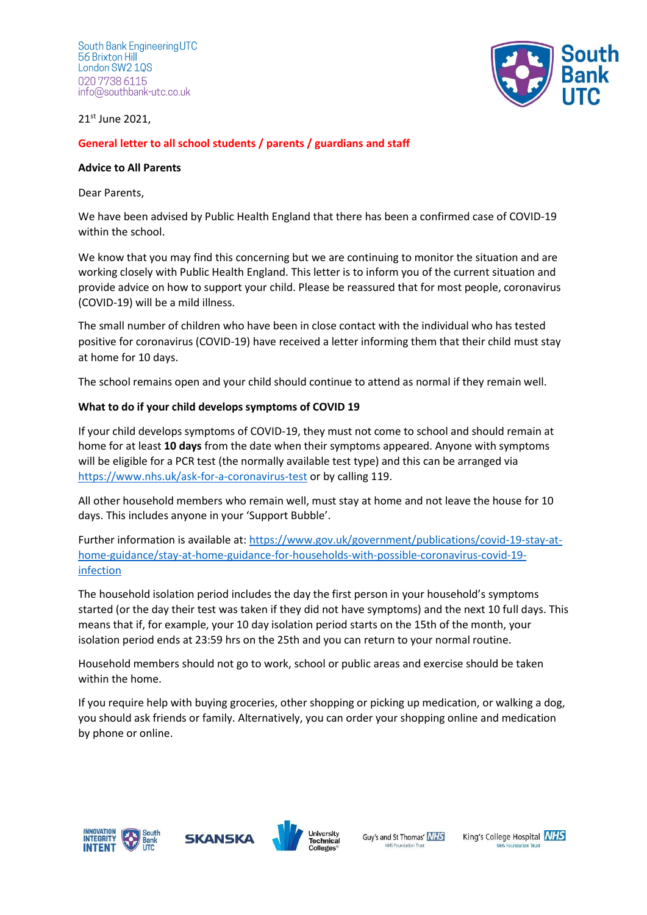South Bank Engineering UTC 56 Brixton Hill London SW2 10S 020 7738 6115 info@southbank-utc.co.uk



21st June 2021,

# **General letter to all school students / parents / guardians and staff**

#### **Advice to All Parents**

Dear Parents,

We have been advised by Public Health England that there has been a confirmed case of COVID-19 within the school.

We know that you may find this concerning but we are continuing to monitor the situation and are working closely with Public Health England. This letter is to inform you of the current situation and provide advice on how to support your child. Please be reassured that for most people, coronavirus (COVID-19) will be a mild illness.

The small number of children who have been in close contact with the individual who has tested positive for coronavirus (COVID-19) have received a letter informing them that their child must stay at home for 10 days.

The school remains open and your child should continue to attend as normal if they remain well.

## **What to do if your child develops symptoms of COVID 19**

If your child develops symptoms of COVID-19, they must not come to school and should remain at home for at least **10 days** from the date when their symptoms appeared. Anyone with symptoms will be eligible for a PCR test (the normally available test type) and this can be arranged via <https://www.nhs.uk/ask-for-a-coronavirus-test> or by calling 119.

All other household members who remain well, must stay at home and not leave the house for 10 days. This includes anyone in your 'Support Bubble'.

Further information is available at: [https://www.gov.uk/government/publications/covid-19-stay-at](https://www.gov.uk/government/publications/covid-19-stay-at-home-guidance/stay-at-home-guidance-for-households-with-possible-coronavirus-covid-19-infection)[home-guidance/stay-at-home-guidance-for-households-with-possible-coronavirus-covid-19](https://www.gov.uk/government/publications/covid-19-stay-at-home-guidance/stay-at-home-guidance-for-households-with-possible-coronavirus-covid-19-infection) [infection](https://www.gov.uk/government/publications/covid-19-stay-at-home-guidance/stay-at-home-guidance-for-households-with-possible-coronavirus-covid-19-infection)

The household isolation period includes the day the first person in your household's symptoms started (or the day their test was taken if they did not have symptoms) and the next 10 full days. This means that if, for example, your 10 day isolation period starts on the 15th of the month, your isolation period ends at 23:59 hrs on the 25th and you can return to your normal routine.

Household members should not go to work, school or public areas and exercise should be taken within the home.

If you require help with buying groceries, other shopping or picking up medication, or walking a dog, you should ask friends or family. Alternatively, you can order your shopping online and medication by phone or online.